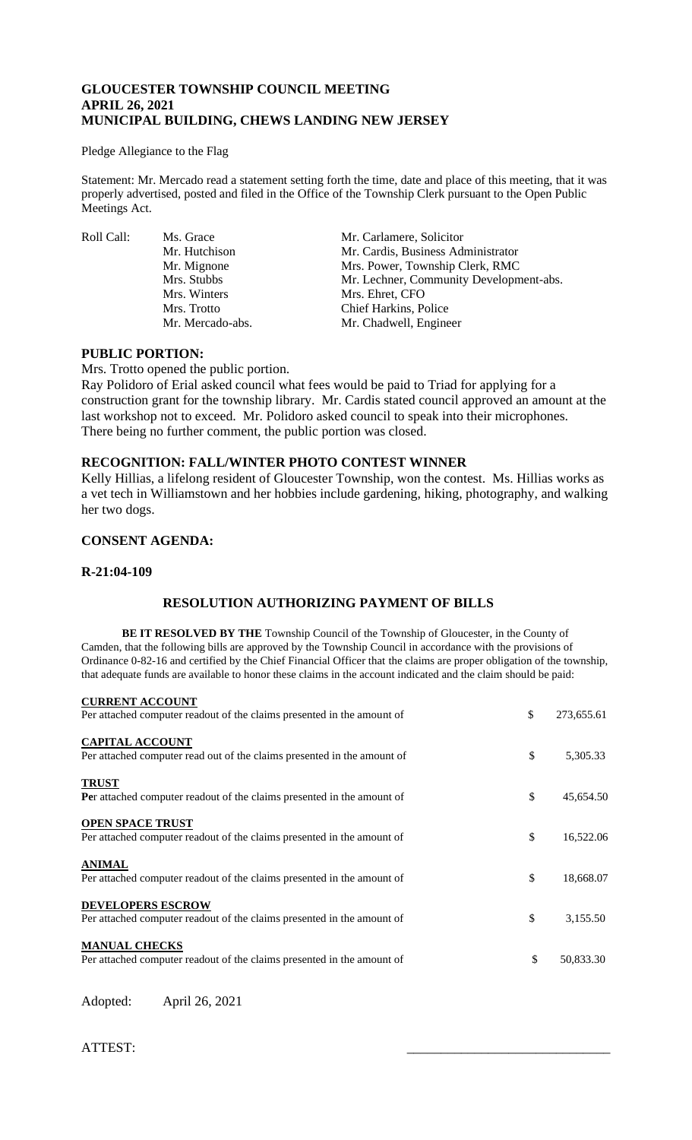## **GLOUCESTER TOWNSHIP COUNCIL MEETING APRIL 26, 2021 MUNICIPAL BUILDING, CHEWS LANDING NEW JERSEY**

#### Pledge Allegiance to the Flag

Statement: Mr. Mercado read a statement setting forth the time, date and place of this meeting, that it was properly advertised, posted and filed in the Office of the Township Clerk pursuant to the Open Public Meetings Act.

Roll Call: Ms. Grace Mr. Carlamere, Solicitor<br>Mr. Hutchison Mr. Cardis, Business Adı

Mr. Cardis, Business Administrator Mr. Mignone Mrs. Power, Township Clerk, RMC Mrs. Stubbs Mr. Lechner, Community Development-abs. Mrs. Winters Mrs. Ehret, CFO Mrs. Trotto Chief Harkins, Police Mr. Mercado-abs. Mr. Chadwell, Engineer

### **PUBLIC PORTION:**

Mrs. Trotto opened the public portion.

Ray Polidoro of Erial asked council what fees would be paid to Triad for applying for a construction grant for the township library. Mr. Cardis stated council approved an amount at the last workshop not to exceed. Mr. Polidoro asked council to speak into their microphones. There being no further comment, the public portion was closed.

# **RECOGNITION: FALL/WINTER PHOTO CONTEST WINNER**

Kelly Hillias, a lifelong resident of Gloucester Township, won the contest. Ms. Hillias works as a vet tech in Williamstown and her hobbies include gardening, hiking, photography, and walking her two dogs.

# **CONSENT AGENDA:**

#### **R-21:04-109**

# **RESOLUTION AUTHORIZING PAYMENT OF BILLS**

**BE IT RESOLVED BY THE** Township Council of the Township of Gloucester, in the County of Camden, that the following bills are approved by the Township Council in accordance with the provisions of Ordinance 0-82-16 and certified by the Chief Financial Officer that the claims are proper obligation of the township, that adequate funds are available to honor these claims in the account indicated and the claim should be paid:

| <b>CURRENT ACCOUNT</b>                                                                             |                  |
|----------------------------------------------------------------------------------------------------|------------------|
| Per attached computer readout of the claims presented in the amount of                             | \$<br>273,655.61 |
| <b>CAPITAL ACCOUNT</b><br>Per attached computer read out of the claims presented in the amount of  | \$<br>5,305.33   |
| <b>TRUST</b><br><b>Per</b> attached computer readout of the claims presented in the amount of      | \$<br>45,654.50  |
| <b>OPEN SPACE TRUST</b><br>Per attached computer readout of the claims presented in the amount of  | \$<br>16,522.06  |
| <b>ANIMAL</b><br>Per attached computer readout of the claims presented in the amount of            | \$<br>18,668.07  |
| <b>DEVELOPERS ESCROW</b><br>Per attached computer readout of the claims presented in the amount of | \$<br>3,155.50   |
| <b>MANUAL CHECKS</b><br>Per attached computer readout of the claims presented in the amount of     | \$<br>50,833.30  |

Adopted: April 26, 2021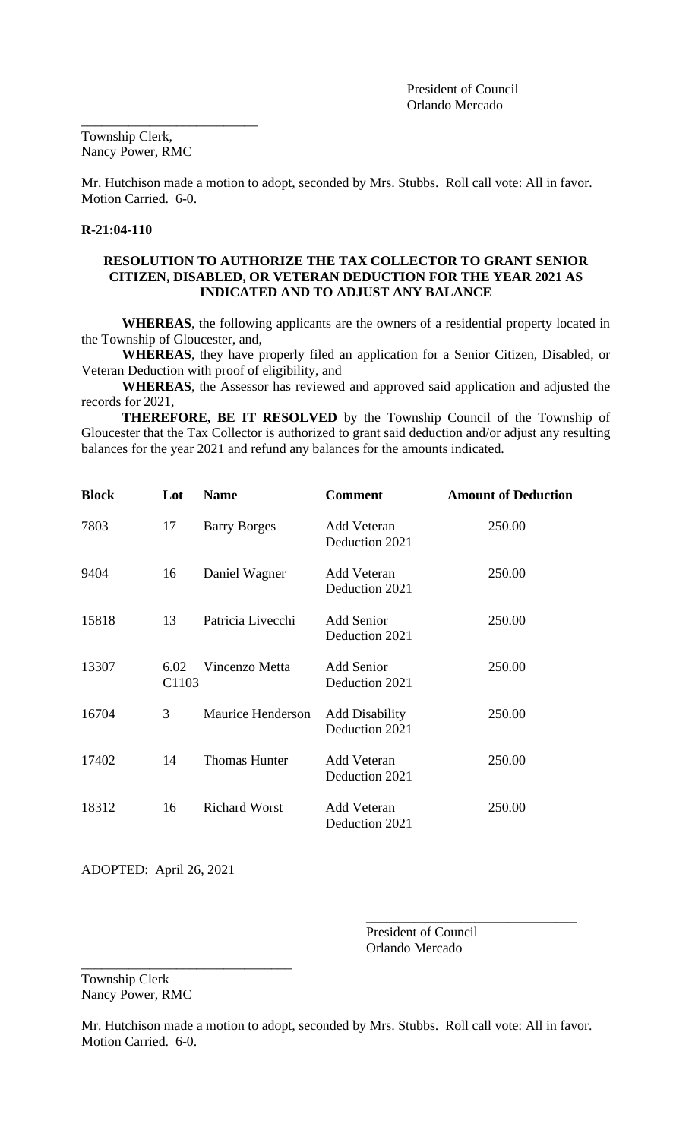Township Clerk, Nancy Power, RMC

\_\_\_\_\_\_\_\_\_\_\_\_\_\_\_\_\_\_\_\_\_\_\_\_\_\_

Mr. Hutchison made a motion to adopt, seconded by Mrs. Stubbs. Roll call vote: All in favor. Motion Carried. 6-0.

# **R-21:04-110**

## **RESOLUTION TO AUTHORIZE THE TAX COLLECTOR TO GRANT SENIOR CITIZEN, DISABLED, OR VETERAN DEDUCTION FOR THE YEAR 2021 AS INDICATED AND TO ADJUST ANY BALANCE**

**WHEREAS**, the following applicants are the owners of a residential property located in the Township of Gloucester, and,

**WHEREAS**, they have properly filed an application for a Senior Citizen, Disabled, or Veteran Deduction with proof of eligibility, and

**WHEREAS**, the Assessor has reviewed and approved said application and adjusted the records for 2021,

 **THEREFORE, BE IT RESOLVED** by the Township Council of the Township of Gloucester that the Tax Collector is authorized to grant said deduction and/or adjust any resulting balances for the year 2021 and refund any balances for the amounts indicated.

| <b>Block</b> | Lot                       | <b>Name</b>          | <b>Comment</b>                          | <b>Amount of Deduction</b> |
|--------------|---------------------------|----------------------|-----------------------------------------|----------------------------|
| 7803         | 17                        | <b>Barry Borges</b>  | <b>Add Veteran</b><br>Deduction 2021    | 250.00                     |
| 9404         | 16                        | Daniel Wagner        | Add Veteran<br>Deduction 2021           | 250.00                     |
| 15818        | 13                        | Patricia Livecchi    | <b>Add Senior</b><br>Deduction 2021     | 250.00                     |
| 13307        | 6.02<br>C <sub>1103</sub> | Vincenzo Metta       | <b>Add Senior</b><br>Deduction 2021     | 250.00                     |
| 16704        | 3                         | Maurice Henderson    | <b>Add Disability</b><br>Deduction 2021 | 250.00                     |
| 17402        | 14                        | <b>Thomas Hunter</b> | <b>Add Veteran</b><br>Deduction 2021    | 250.00                     |
| 18312        | 16                        | <b>Richard Worst</b> | Add Veteran<br>Deduction 2021           | 250.00                     |

ADOPTED: April 26, 2021

\_\_\_\_\_\_\_\_\_\_\_\_\_\_\_\_\_\_\_\_\_\_\_\_\_\_\_\_\_\_\_

President of Council Orlando Mercado

\_\_\_\_\_\_\_\_\_\_\_\_\_\_\_\_\_\_\_\_\_\_\_\_\_\_\_\_\_\_\_

Township Clerk Nancy Power, RMC

Mr. Hutchison made a motion to adopt, seconded by Mrs. Stubbs. Roll call vote: All in favor. Motion Carried. 6-0.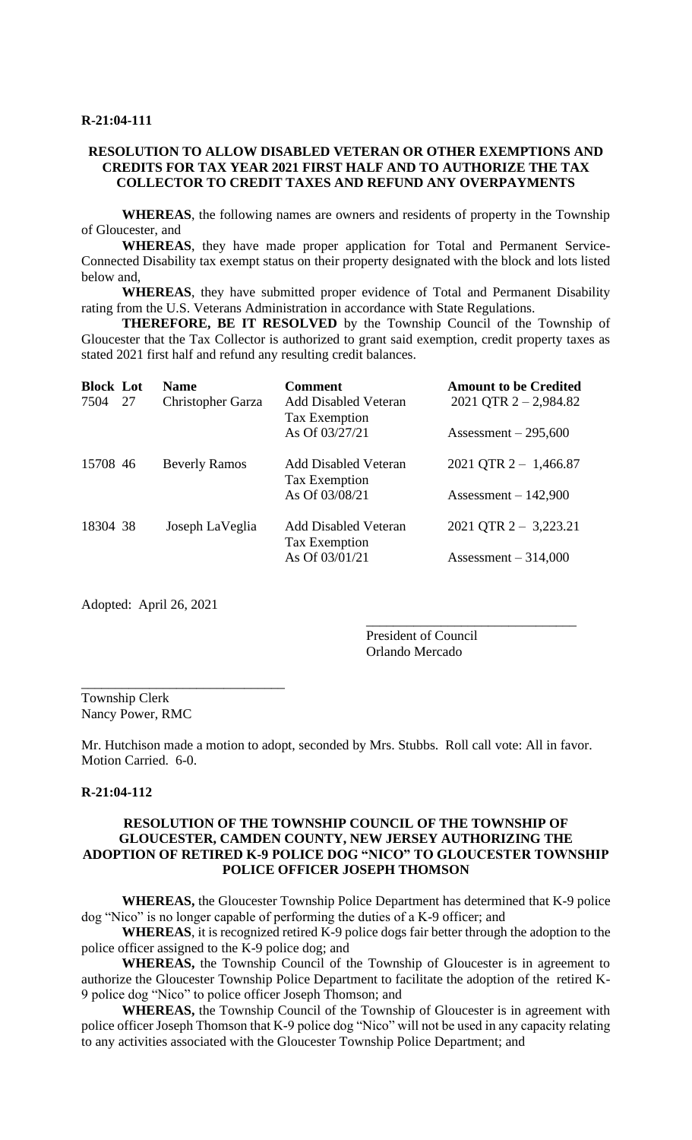### **RESOLUTION TO ALLOW DISABLED VETERAN OR OTHER EXEMPTIONS AND CREDITS FOR TAX YEAR 2021 FIRST HALF AND TO AUTHORIZE THE TAX COLLECTOR TO CREDIT TAXES AND REFUND ANY OVERPAYMENTS**

**WHEREAS**, the following names are owners and residents of property in the Township of Gloucester, and

**WHEREAS**, they have made proper application for Total and Permanent Service-Connected Disability tax exempt status on their property designated with the block and lots listed below and,

**WHEREAS**, they have submitted proper evidence of Total and Permanent Disability rating from the U.S. Veterans Administration in accordance with State Regulations.

**THEREFORE, BE IT RESOLVED** by the Township Council of the Township of Gloucester that the Tax Collector is authorized to grant said exemption, credit property taxes as stated 2021 first half and refund any resulting credit balances.

| <b>Block Lot</b><br>7504 | 27 | <b>Name</b><br><b>Christopher Garza</b> | <b>Comment</b><br><b>Add Disabled Veteran</b><br>Tax Exemption | <b>Amount to be Credited</b><br>2021 QTR $2 - 2,984.82$ |
|--------------------------|----|-----------------------------------------|----------------------------------------------------------------|---------------------------------------------------------|
| 15708 46                 |    | <b>Beverly Ramos</b>                    | As Of 03/27/21<br><b>Add Disabled Veteran</b>                  | Assessment $-295,600$<br>2021 QTR $2 - 1,466.87$        |
|                          |    |                                         | Tax Exemption<br>As Of 03/08/21                                | Assessment $-142,900$                                   |
| 18304 38                 |    | Joseph LaVeglia                         | <b>Add Disabled Veteran</b><br>Tax Exemption                   | $2021$ QTR 2 - 3,223.21                                 |
|                          |    |                                         | As Of 03/01/21                                                 | Assessment $-314,000$                                   |

Adopted: April 26, 2021

\_\_\_\_\_\_\_\_\_\_\_\_\_\_\_\_\_\_\_\_\_\_\_\_\_\_\_\_\_\_

President of Council Orlando Mercado

\_\_\_\_\_\_\_\_\_\_\_\_\_\_\_\_\_\_\_\_\_\_\_\_\_\_\_\_\_\_\_

Township Clerk Nancy Power, RMC

Mr. Hutchison made a motion to adopt, seconded by Mrs. Stubbs. Roll call vote: All in favor. Motion Carried. 6-0.

## **R-21:04-112**

## **RESOLUTION OF THE TOWNSHIP COUNCIL OF THE TOWNSHIP OF GLOUCESTER, CAMDEN COUNTY, NEW JERSEY AUTHORIZING THE ADOPTION OF RETIRED K-9 POLICE DOG "NICO" TO GLOUCESTER TOWNSHIP POLICE OFFICER JOSEPH THOMSON**

**WHEREAS,** the Gloucester Township Police Department has determined that K-9 police dog "Nico" is no longer capable of performing the duties of a K-9 officer; and

**WHEREAS**, it is recognized retired K-9 police dogs fair better through the adoption to the police officer assigned to the K-9 police dog; and

**WHEREAS,** the Township Council of the Township of Gloucester is in agreement to authorize the Gloucester Township Police Department to facilitate the adoption of the retired K-9 police dog "Nico" to police officer Joseph Thomson; and

**WHEREAS,** the Township Council of the Township of Gloucester is in agreement with police officer Joseph Thomson that K-9 police dog "Nico" will not be used in any capacity relating to any activities associated with the Gloucester Township Police Department; and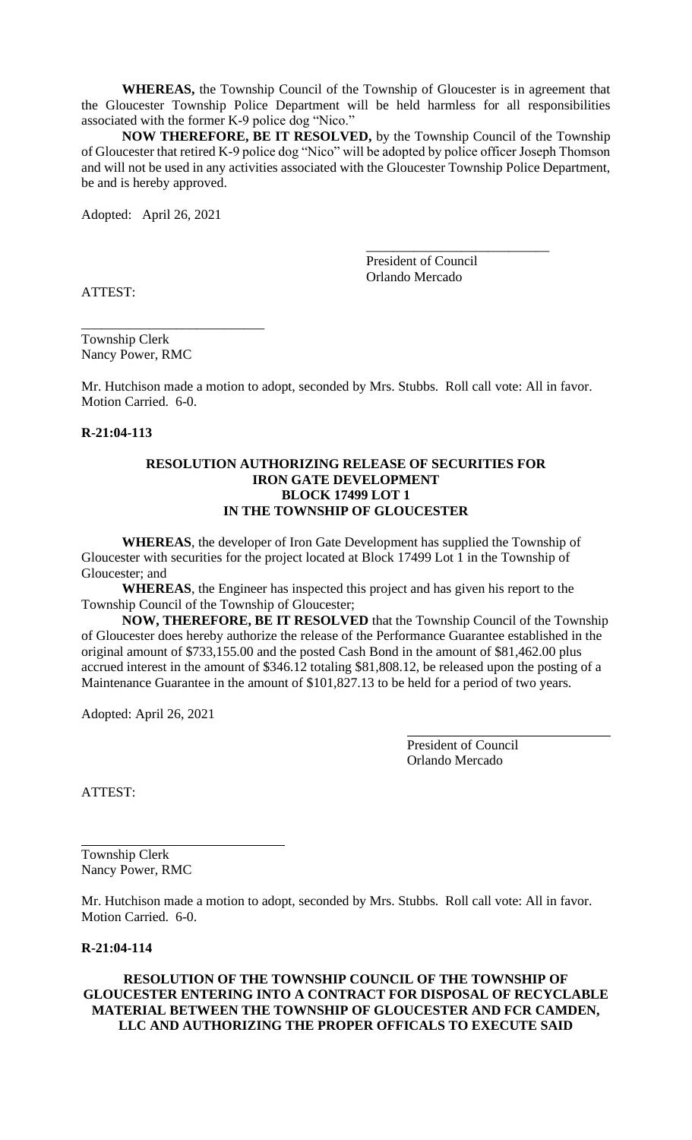**WHEREAS,** the Township Council of the Township of Gloucester is in agreement that the Gloucester Township Police Department will be held harmless for all responsibilities associated with the former K-9 police dog "Nico."

**NOW THEREFORE, BE IT RESOLVED,** by the Township Council of the Township of Gloucester that retired K-9 police dog "Nico" will be adopted by police officer Joseph Thomson and will not be used in any activities associated with the Gloucester Township Police Department, be and is hereby approved.

Adopted: April 26, 2021

\_\_\_\_\_\_\_\_\_\_\_\_\_\_\_\_\_\_\_\_\_\_\_\_\_\_\_ President of Council Orlando Mercado

ATTEST:

Township Clerk Nancy Power, RMC

\_\_\_\_\_\_\_\_\_\_\_\_\_\_\_\_\_\_\_\_\_\_\_\_\_\_\_

Mr. Hutchison made a motion to adopt, seconded by Mrs. Stubbs. Roll call vote: All in favor. Motion Carried. 6-0.

### **R-21:04-113**

## **RESOLUTION AUTHORIZING RELEASE OF SECURITIES FOR IRON GATE DEVELOPMENT BLOCK 17499 LOT 1 IN THE TOWNSHIP OF GLOUCESTER**

**WHEREAS**, the developer of Iron Gate Development has supplied the Township of Gloucester with securities for the project located at Block 17499 Lot 1 in the Township of Gloucester; and

**WHEREAS**, the Engineer has inspected this project and has given his report to the Township Council of the Township of Gloucester;

**NOW, THEREFORE, BE IT RESOLVED** that the Township Council of the Township of Gloucester does hereby authorize the release of the Performance Guarantee established in the original amount of \$733,155.00 and the posted Cash Bond in the amount of \$81,462.00 plus accrued interest in the amount of \$346.12 totaling \$81,808.12, be released upon the posting of a Maintenance Guarantee in the amount of \$101,827.13 to be held for a period of two years.

Adopted: April 26, 2021

President of Council Orlando Mercado

ATTEST:

Township Clerk Nancy Power, RMC

Mr. Hutchison made a motion to adopt, seconded by Mrs. Stubbs. Roll call vote: All in favor. Motion Carried. 6-0.

# **R-21:04-114**

## **RESOLUTION OF THE TOWNSHIP COUNCIL OF THE TOWNSHIP OF GLOUCESTER ENTERING INTO A CONTRACT FOR DISPOSAL OF RECYCLABLE MATERIAL BETWEEN THE TOWNSHIP OF GLOUCESTER AND FCR CAMDEN, LLC AND AUTHORIZING THE PROPER OFFICALS TO EXECUTE SAID**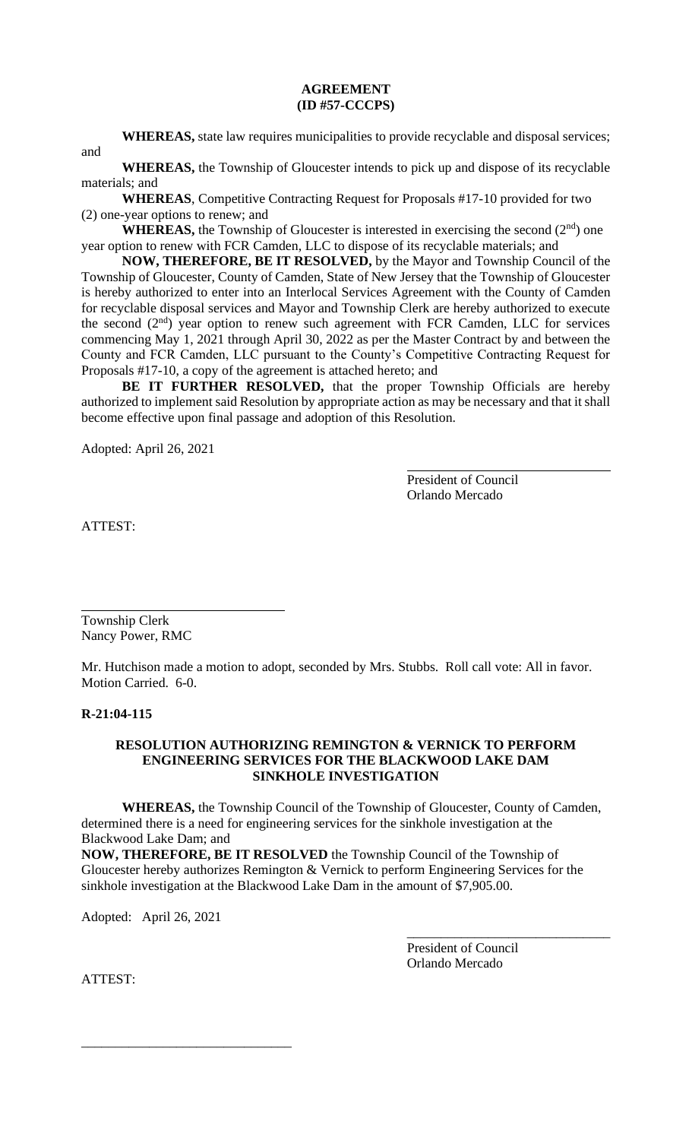### **AGREEMENT (ID #57-CCCPS)**

**WHEREAS,** state law requires municipalities to provide recyclable and disposal services;

and

**WHEREAS,** the Township of Gloucester intends to pick up and dispose of its recyclable materials; and

**WHEREAS**, Competitive Contracting Request for Proposals #17-10 provided for two (2) one-year options to renew; and

**WHEREAS,** the Township of Gloucester is interested in exercising the second  $(2<sup>nd</sup>)$  one year option to renew with FCR Camden, LLC to dispose of its recyclable materials; and

**NOW, THEREFORE, BE IT RESOLVED,** by the Mayor and Township Council of the Township of Gloucester, County of Camden, State of New Jersey that the Township of Gloucester is hereby authorized to enter into an Interlocal Services Agreement with the County of Camden for recyclable disposal services and Mayor and Township Clerk are hereby authorized to execute the second  $(2<sup>nd</sup>)$  year option to renew such agreement with FCR Camden, LLC for services commencing May 1, 2021 through April 30, 2022 as per the Master Contract by and between the County and FCR Camden, LLC pursuant to the County's Competitive Contracting Request for Proposals #17-10, a copy of the agreement is attached hereto; and

**BE IT FURTHER RESOLVED,** that the proper Township Officials are hereby authorized to implement said Resolution by appropriate action as may be necessary and that it shall become effective upon final passage and adoption of this Resolution.

Adopted: April 26, 2021

President of Council Orlando Mercado

ATTEST:

Township Clerk Nancy Power, RMC

Mr. Hutchison made a motion to adopt, seconded by Mrs. Stubbs. Roll call vote: All in favor. Motion Carried. 6-0.

## **R-21:04-115**

### **RESOLUTION AUTHORIZING REMINGTON & VERNICK TO PERFORM ENGINEERING SERVICES FOR THE BLACKWOOD LAKE DAM SINKHOLE INVESTIGATION**

**WHEREAS,** the Township Council of the Township of Gloucester, County of Camden, determined there is a need for engineering services for the sinkhole investigation at the Blackwood Lake Dam; and

**NOW, THEREFORE, BE IT RESOLVED** the Township Council of the Township of Gloucester hereby authorizes Remington & Vernick to perform Engineering Services for the sinkhole investigation at the Blackwood Lake Dam in the amount of \$7,905.00.

Adopted: April 26, 2021

\_\_\_\_\_\_\_\_\_\_\_\_\_\_\_\_\_\_\_\_\_\_\_\_\_\_\_\_\_\_\_

President of Council Orlando Mercado

\_\_\_\_\_\_\_\_\_\_\_\_\_\_\_\_\_\_\_\_\_\_\_\_\_\_\_\_\_\_

ATTEST: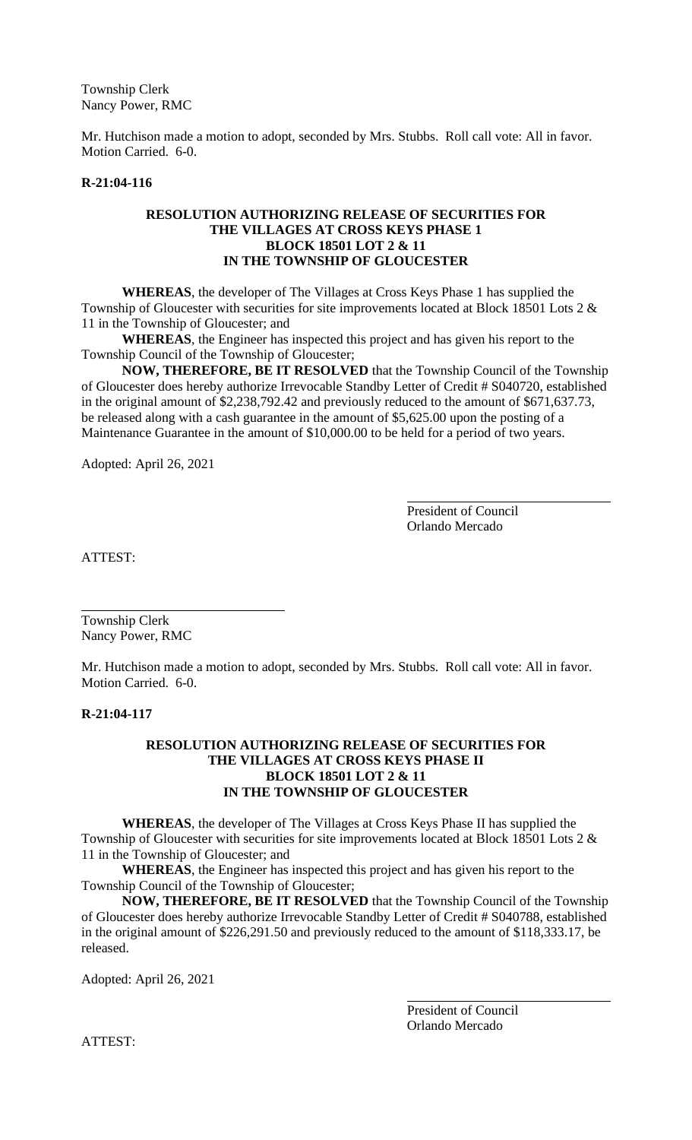Township Clerk Nancy Power, RMC

Mr. Hutchison made a motion to adopt, seconded by Mrs. Stubbs. Roll call vote: All in favor. Motion Carried. 6-0.

### **R-21:04-116**

### **RESOLUTION AUTHORIZING RELEASE OF SECURITIES FOR THE VILLAGES AT CROSS KEYS PHASE 1 BLOCK 18501 LOT 2 & 11 IN THE TOWNSHIP OF GLOUCESTER**

**WHEREAS**, the developer of The Villages at Cross Keys Phase 1 has supplied the Township of Gloucester with securities for site improvements located at Block 18501 Lots 2 & 11 in the Township of Gloucester; and

**WHEREAS**, the Engineer has inspected this project and has given his report to the Township Council of the Township of Gloucester;

**NOW, THEREFORE, BE IT RESOLVED** that the Township Council of the Township of Gloucester does hereby authorize Irrevocable Standby Letter of Credit # S040720, established in the original amount of \$2,238,792.42 and previously reduced to the amount of \$671,637.73, be released along with a cash guarantee in the amount of \$5,625.00 upon the posting of a Maintenance Guarantee in the amount of \$10,000.00 to be held for a period of two years.

Adopted: April 26, 2021

President of Council Orlando Mercado

ATTEST:

Township Clerk Nancy Power, RMC

Mr. Hutchison made a motion to adopt, seconded by Mrs. Stubbs. Roll call vote: All in favor. Motion Carried. 6-0.

### **R-21:04-117**

### **RESOLUTION AUTHORIZING RELEASE OF SECURITIES FOR THE VILLAGES AT CROSS KEYS PHASE II BLOCK 18501 LOT 2 & 11 IN THE TOWNSHIP OF GLOUCESTER**

**WHEREAS**, the developer of The Villages at Cross Keys Phase II has supplied the Township of Gloucester with securities for site improvements located at Block 18501 Lots 2 & 11 in the Township of Gloucester; and

**WHEREAS**, the Engineer has inspected this project and has given his report to the Township Council of the Township of Gloucester;

**NOW, THEREFORE, BE IT RESOLVED** that the Township Council of the Township of Gloucester does hereby authorize Irrevocable Standby Letter of Credit # S040788, established in the original amount of \$226,291.50 and previously reduced to the amount of \$118,333.17, be released.

Adopted: April 26, 2021

President of Council Orlando Mercado

ATTEST: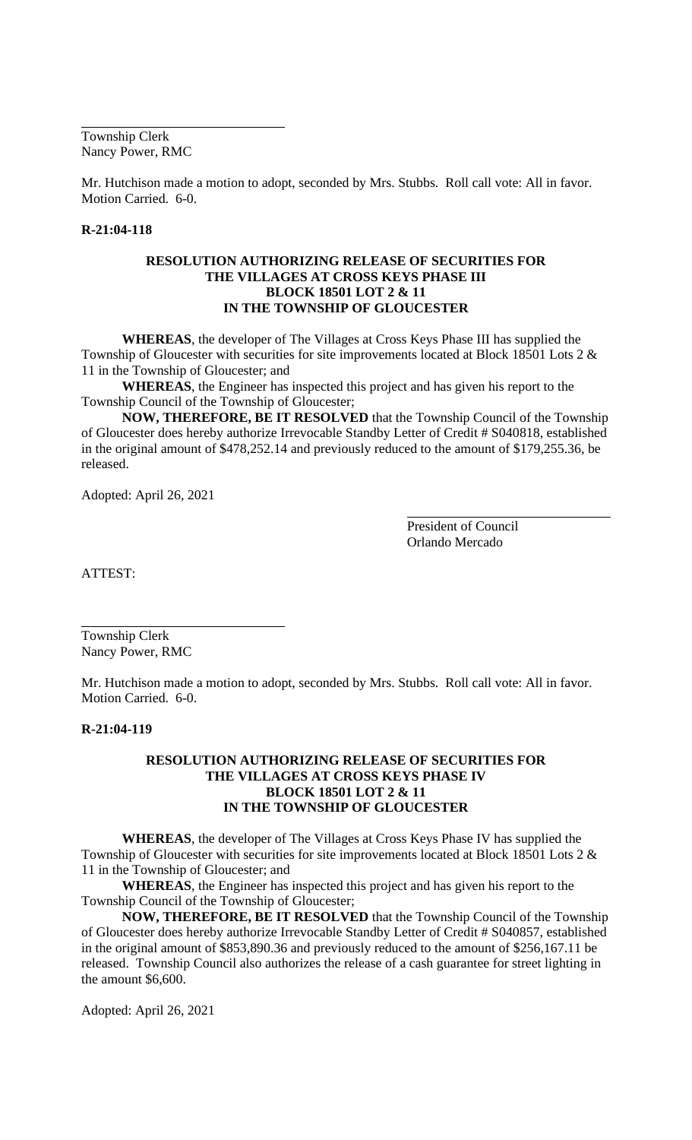Township Clerk Nancy Power, RMC

Mr. Hutchison made a motion to adopt, seconded by Mrs. Stubbs. Roll call vote: All in favor. Motion Carried. 6-0.

# **R-21:04-118**

## **RESOLUTION AUTHORIZING RELEASE OF SECURITIES FOR THE VILLAGES AT CROSS KEYS PHASE III BLOCK 18501 LOT 2 & 11 IN THE TOWNSHIP OF GLOUCESTER**

**WHEREAS**, the developer of The Villages at Cross Keys Phase III has supplied the Township of Gloucester with securities for site improvements located at Block 18501 Lots 2 & 11 in the Township of Gloucester; and

**WHEREAS**, the Engineer has inspected this project and has given his report to the Township Council of the Township of Gloucester;

**NOW, THEREFORE, BE IT RESOLVED** that the Township Council of the Township of Gloucester does hereby authorize Irrevocable Standby Letter of Credit # S040818, established in the original amount of \$478,252.14 and previously reduced to the amount of \$179,255.36, be released.

Adopted: April 26, 2021

President of Council Orlando Mercado

ATTEST:

Township Clerk Nancy Power, RMC

Mr. Hutchison made a motion to adopt, seconded by Mrs. Stubbs. Roll call vote: All in favor. Motion Carried. 6-0.

#### **R-21:04-119**

### **RESOLUTION AUTHORIZING RELEASE OF SECURITIES FOR THE VILLAGES AT CROSS KEYS PHASE IV BLOCK 18501 LOT 2 & 11 IN THE TOWNSHIP OF GLOUCESTER**

**WHEREAS**, the developer of The Villages at Cross Keys Phase IV has supplied the Township of Gloucester with securities for site improvements located at Block 18501 Lots 2 & 11 in the Township of Gloucester; and

**WHEREAS**, the Engineer has inspected this project and has given his report to the Township Council of the Township of Gloucester;

**NOW, THEREFORE, BE IT RESOLVED** that the Township Council of the Township of Gloucester does hereby authorize Irrevocable Standby Letter of Credit # S040857, established in the original amount of \$853,890.36 and previously reduced to the amount of \$256,167.11 be released. Township Council also authorizes the release of a cash guarantee for street lighting in the amount \$6,600.

Adopted: April 26, 2021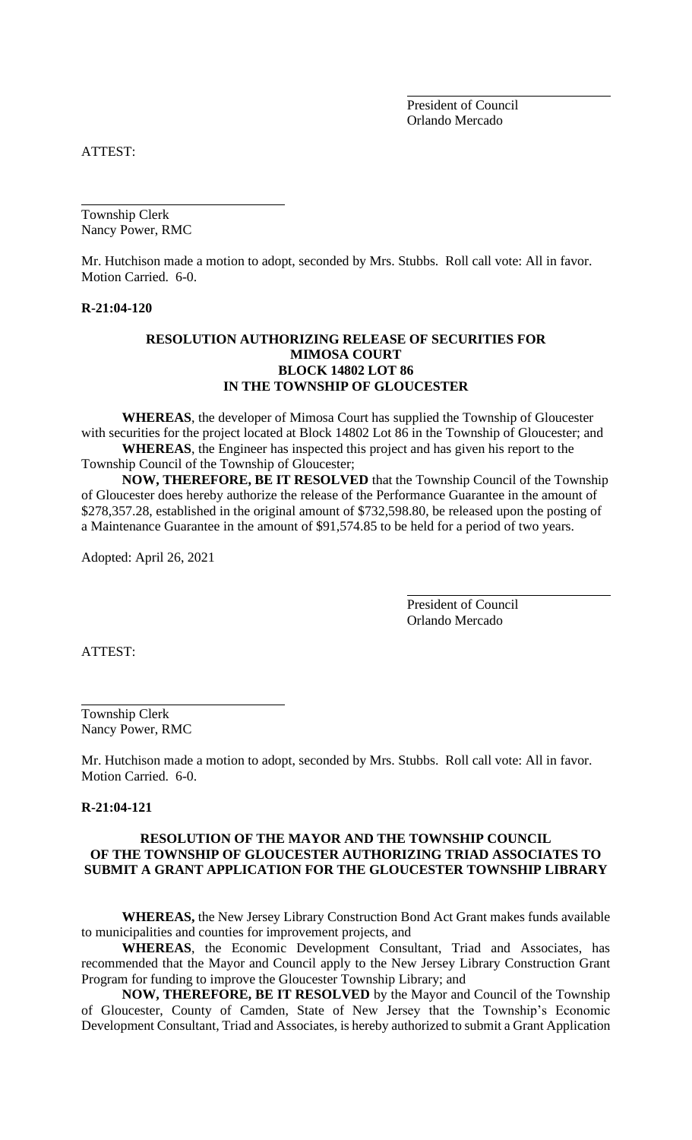President of Council Orlando Mercado

ATTEST:

Township Clerk Nancy Power, RMC

Mr. Hutchison made a motion to adopt, seconded by Mrs. Stubbs. Roll call vote: All in favor. Motion Carried. 6-0.

### **R-21:04-120**

## **RESOLUTION AUTHORIZING RELEASE OF SECURITIES FOR MIMOSA COURT BLOCK 14802 LOT 86 IN THE TOWNSHIP OF GLOUCESTER**

**WHEREAS**, the developer of Mimosa Court has supplied the Township of Gloucester with securities for the project located at Block 14802 Lot 86 in the Township of Gloucester; and **WHEREAS**, the Engineer has inspected this project and has given his report to the Township Council of the Township of Gloucester;

**NOW, THEREFORE, BE IT RESOLVED** that the Township Council of the Township of Gloucester does hereby authorize the release of the Performance Guarantee in the amount of \$278,357.28, established in the original amount of \$732,598.80, be released upon the posting of a Maintenance Guarantee in the amount of \$91,574.85 to be held for a period of two years.

Adopted: April 26, 2021

President of Council Orlando Mercado

ATTEST:

Township Clerk Nancy Power, RMC

Mr. Hutchison made a motion to adopt, seconded by Mrs. Stubbs. Roll call vote: All in favor. Motion Carried. 6-0.

#### **R-21:04-121**

## **RESOLUTION OF THE MAYOR AND THE TOWNSHIP COUNCIL OF THE TOWNSHIP OF GLOUCESTER AUTHORIZING TRIAD ASSOCIATES TO SUBMIT A GRANT APPLICATION FOR THE GLOUCESTER TOWNSHIP LIBRARY**

**WHEREAS,** the New Jersey Library Construction Bond Act Grant makes funds available to municipalities and counties for improvement projects, and

**WHEREAS**, the Economic Development Consultant, Triad and Associates, has recommended that the Mayor and Council apply to the New Jersey Library Construction Grant Program for funding to improve the Gloucester Township Library; and

**NOW, THEREFORE, BE IT RESOLVED** by the Mayor and Council of the Township of Gloucester, County of Camden, State of New Jersey that the Township's Economic Development Consultant, Triad and Associates, is hereby authorized to submit a Grant Application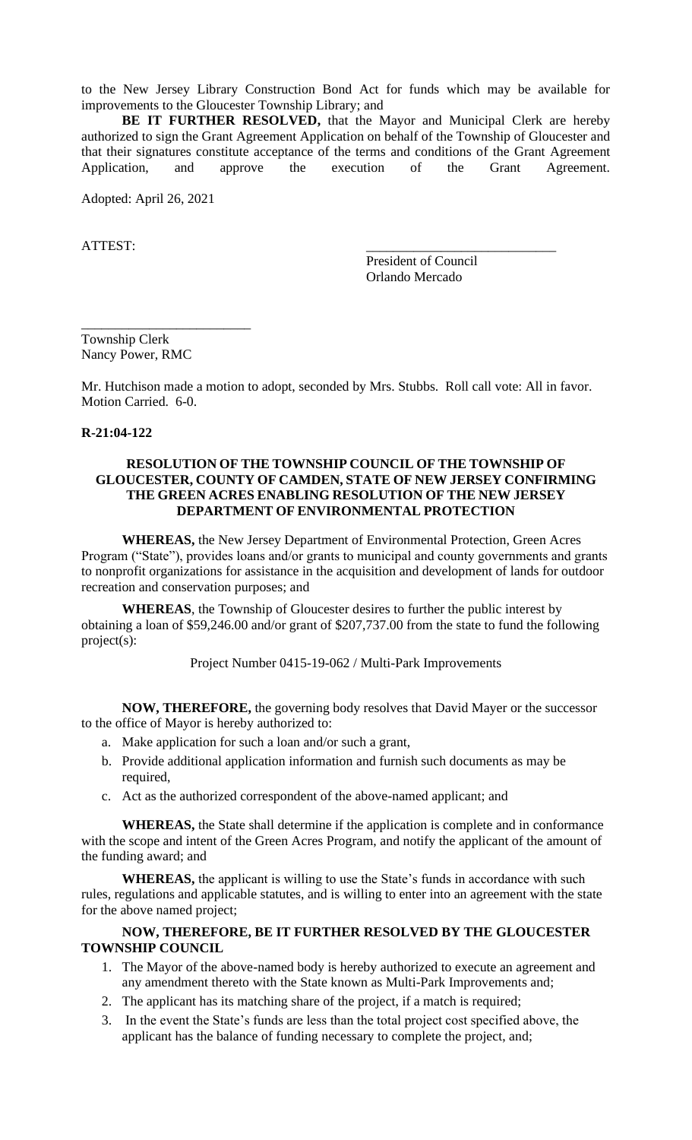to the New Jersey Library Construction Bond Act for funds which may be available for improvements to the Gloucester Township Library; and

**BE IT FURTHER RESOLVED,** that the Mayor and Municipal Clerk are hereby authorized to sign the Grant Agreement Application on behalf of the Township of Gloucester and that their signatures constitute acceptance of the terms and conditions of the Grant Agreement Application, and approve the execution of the Grant Agreement.

Adopted: April 26, 2021

ATTEST:

President of Council Orlando Mercado

Township Clerk Nancy Power, RMC

\_\_\_\_\_\_\_\_\_\_\_\_\_\_\_\_\_\_\_\_\_\_\_\_\_

Mr. Hutchison made a motion to adopt, seconded by Mrs. Stubbs. Roll call vote: All in favor. Motion Carried. 6-0.

#### **R-21:04-122**

## **RESOLUTION OF THE TOWNSHIP COUNCIL OF THE TOWNSHIP OF GLOUCESTER, COUNTY OF CAMDEN, STATE OF NEW JERSEY CONFIRMING THE GREEN ACRES ENABLING RESOLUTION OF THE NEW JERSEY DEPARTMENT OF ENVIRONMENTAL PROTECTION**

**WHEREAS,** the New Jersey Department of Environmental Protection, Green Acres Program ("State"), provides loans and/or grants to municipal and county governments and grants to nonprofit organizations for assistance in the acquisition and development of lands for outdoor recreation and conservation purposes; and

**WHEREAS**, the Township of Gloucester desires to further the public interest by obtaining a loan of \$59,246.00 and/or grant of \$207,737.00 from the state to fund the following project(s):

Project Number 0415-19-062 / Multi-Park Improvements

**NOW, THEREFORE,** the governing body resolves that David Mayer or the successor to the office of Mayor is hereby authorized to:

- a. Make application for such a loan and/or such a grant,
- b. Provide additional application information and furnish such documents as may be required,
- c. Act as the authorized correspondent of the above-named applicant; and

**WHEREAS,** the State shall determine if the application is complete and in conformance with the scope and intent of the Green Acres Program, and notify the applicant of the amount of the funding award; and

**WHEREAS,** the applicant is willing to use the State's funds in accordance with such rules, regulations and applicable statutes, and is willing to enter into an agreement with the state for the above named project;

## **NOW, THEREFORE, BE IT FURTHER RESOLVED BY THE GLOUCESTER TOWNSHIP COUNCIL**

- 1. The Mayor of the above-named body is hereby authorized to execute an agreement and any amendment thereto with the State known as Multi-Park Improvements and;
- 2. The applicant has its matching share of the project, if a match is required;
- 3. In the event the State's funds are less than the total project cost specified above, the applicant has the balance of funding necessary to complete the project, and;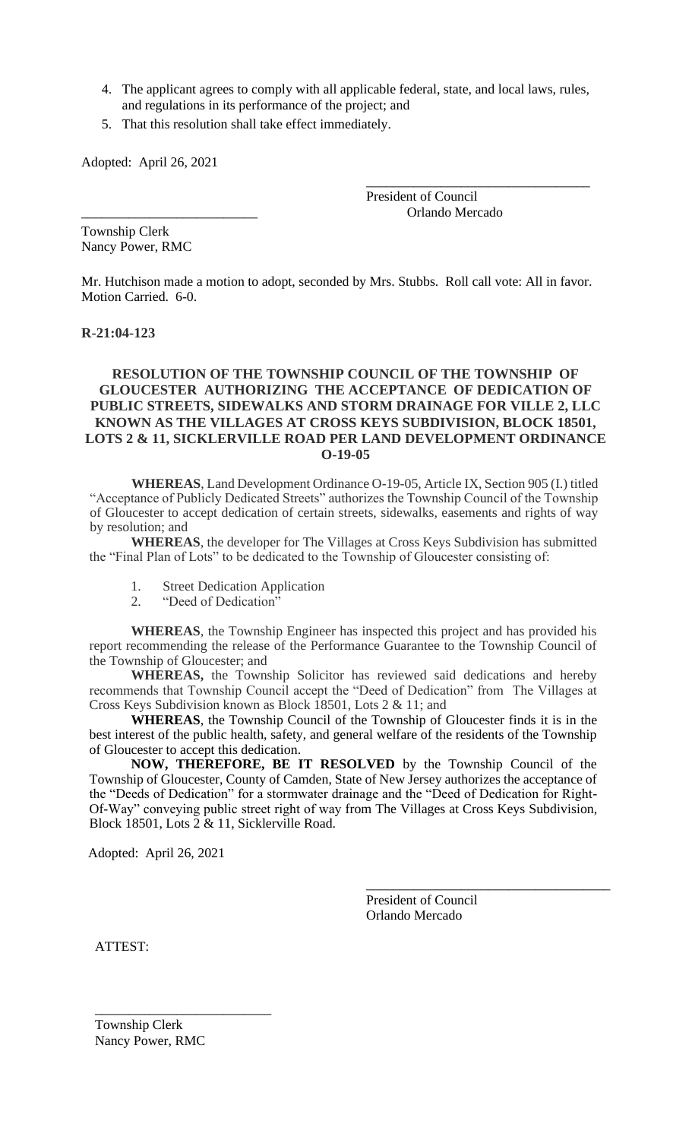- 4. The applicant agrees to comply with all applicable federal, state, and local laws, rules, and regulations in its performance of the project; and
- 5. That this resolution shall take effect immediately.

Adopted: April 26, 2021

President of Council \_\_\_\_\_\_\_\_\_\_\_\_\_\_\_\_\_\_\_\_\_\_\_\_\_\_ Orlando Mercado

\_\_\_\_\_\_\_\_\_\_\_\_\_\_\_\_\_\_\_\_\_\_\_\_\_\_\_\_\_\_\_\_\_

Township Clerk Nancy Power, RMC

Mr. Hutchison made a motion to adopt, seconded by Mrs. Stubbs. Roll call vote: All in favor. Motion Carried. 6-0.

### **R-21:04-123**

## **RESOLUTION OF THE TOWNSHIP COUNCIL OF THE TOWNSHIP OF GLOUCESTER AUTHORIZING THE ACCEPTANCE OF DEDICATION OF PUBLIC STREETS, SIDEWALKS AND STORM DRAINAGE FOR VILLE 2, LLC KNOWN AS THE VILLAGES AT CROSS KEYS SUBDIVISION, BLOCK 18501, LOTS 2 & 11, SICKLERVILLE ROAD PER LAND DEVELOPMENT ORDINANCE O-19-05**

**WHEREAS**, Land Development Ordinance O-19-05, Article IX, Section 905 (I.) titled "Acceptance of Publicly Dedicated Streets" authorizes the Township Council of the Township of Gloucester to accept dedication of certain streets, sidewalks, easements and rights of way by resolution; and

**WHEREAS**, the developer for The Villages at Cross Keys Subdivision has submitted the "Final Plan of Lots" to be dedicated to the Township of Gloucester consisting of:

- 1. Street Dedication Application
- 2. "Deed of Dedication"

**WHEREAS**, the Township Engineer has inspected this project and has provided his report recommending the release of the Performance Guarantee to the Township Council of the Township of Gloucester; and

**WHEREAS,** the Township Solicitor has reviewed said dedications and hereby recommends that Township Council accept the "Deed of Dedication" from The Villages at Cross Keys Subdivision known as Block 18501, Lots 2 & 11; and

**WHEREAS**, the Township Council of the Township of Gloucester finds it is in the best interest of the public health, safety, and general welfare of the residents of the Township of Gloucester to accept this dedication.

**NOW, THEREFORE, BE IT RESOLVED** by the Township Council of the Township of Gloucester, County of Camden, State of New Jersey authorizes the acceptance of the "Deeds of Dedication" for a stormwater drainage and the "Deed of Dedication for Right-Of-Way" conveying public street right of way from The Villages at Cross Keys Subdivision, Block 18501, Lots 2 & 11, Sicklerville Road.

Adopted: April 26, 2021

President of Council Orlando Mercado

\_\_\_\_\_\_\_\_\_\_\_\_\_\_\_\_\_\_\_\_\_\_\_\_\_\_\_\_\_\_\_\_\_\_\_\_

ATTEST:

 $\frac{1}{\sqrt{2}}$  ,  $\frac{1}{\sqrt{2}}$  ,  $\frac{1}{\sqrt{2}}$  ,  $\frac{1}{\sqrt{2}}$  ,  $\frac{1}{\sqrt{2}}$  ,  $\frac{1}{\sqrt{2}}$  ,  $\frac{1}{\sqrt{2}}$  ,  $\frac{1}{\sqrt{2}}$  ,  $\frac{1}{\sqrt{2}}$  ,  $\frac{1}{\sqrt{2}}$  ,  $\frac{1}{\sqrt{2}}$  ,  $\frac{1}{\sqrt{2}}$  ,  $\frac{1}{\sqrt{2}}$  ,  $\frac{1}{\sqrt{2}}$  ,  $\frac{1}{\sqrt{2}}$  Township Clerk Nancy Power, RMC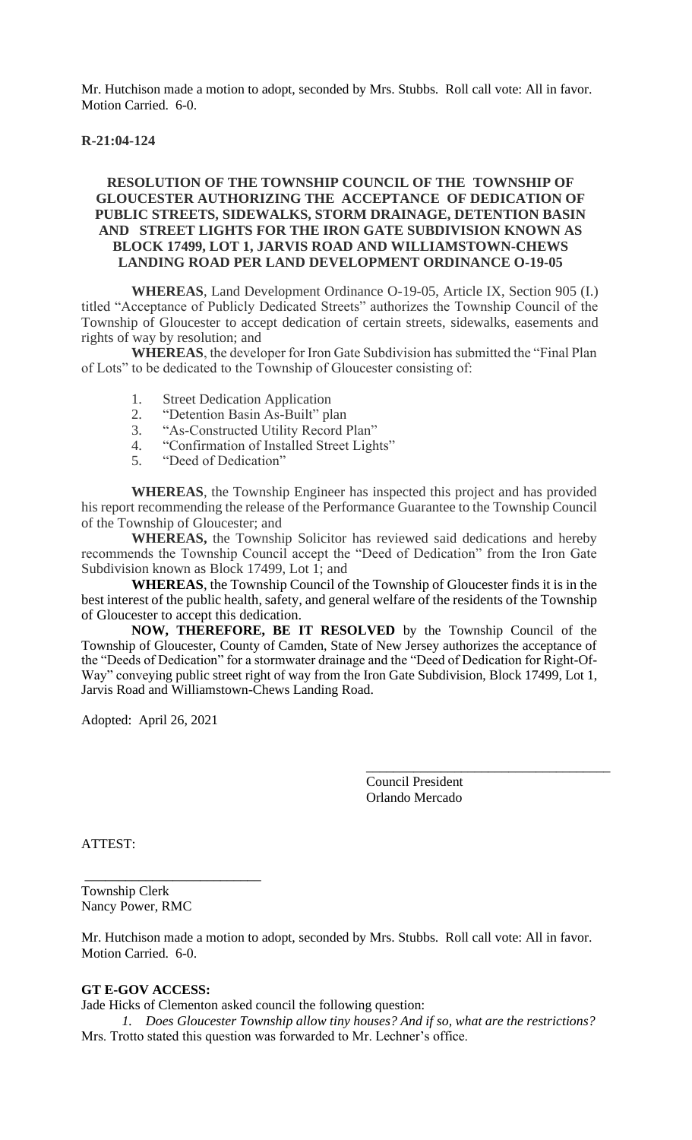Mr. Hutchison made a motion to adopt, seconded by Mrs. Stubbs. Roll call vote: All in favor. Motion Carried. 6-0.

## **R-21:04-124**

## **RESOLUTION OF THE TOWNSHIP COUNCIL OF THE TOWNSHIP OF GLOUCESTER AUTHORIZING THE ACCEPTANCE OF DEDICATION OF PUBLIC STREETS, SIDEWALKS, STORM DRAINAGE, DETENTION BASIN AND STREET LIGHTS FOR THE IRON GATE SUBDIVISION KNOWN AS BLOCK 17499, LOT 1, JARVIS ROAD AND WILLIAMSTOWN-CHEWS LANDING ROAD PER LAND DEVELOPMENT ORDINANCE O-19-05**

**WHEREAS**, Land Development Ordinance O-19-05, Article IX, Section 905 (I.) titled "Acceptance of Publicly Dedicated Streets" authorizes the Township Council of the Township of Gloucester to accept dedication of certain streets, sidewalks, easements and rights of way by resolution; and

**WHEREAS**, the developer for Iron Gate Subdivision has submitted the "Final Plan of Lots" to be dedicated to the Township of Gloucester consisting of:

- 1. Street Dedication Application
- 2. "Detention Basin As-Built" plan
- 3. "As-Constructed Utility Record Plan"
- 4. "Confirmation of Installed Street Lights"
- 5. "Deed of Dedication"

**WHEREAS**, the Township Engineer has inspected this project and has provided his report recommending the release of the Performance Guarantee to the Township Council of the Township of Gloucester; and

**WHEREAS,** the Township Solicitor has reviewed said dedications and hereby recommends the Township Council accept the "Deed of Dedication" from the Iron Gate Subdivision known as Block 17499, Lot 1; and

**WHEREAS**, the Township Council of the Township of Gloucester finds it is in the best interest of the public health, safety, and general welfare of the residents of the Township of Gloucester to accept this dedication.

**NOW, THEREFORE, BE IT RESOLVED** by the Township Council of the Township of Gloucester, County of Camden, State of New Jersey authorizes the acceptance of the "Deeds of Dedication" for a stormwater drainage and the "Deed of Dedication for Right-Of-Way" conveying public street right of way from the Iron Gate Subdivision, Block 17499, Lot 1, Jarvis Road and Williamstown-Chews Landing Road.

Adopted: April 26, 2021

Council President Orlando Mercado

\_\_\_\_\_\_\_\_\_\_\_\_\_\_\_\_\_\_\_\_\_\_\_\_\_\_\_\_\_\_\_\_\_\_\_\_

ATTEST:

Township Clerk Nancy Power, RMC

\_\_\_\_\_\_\_\_\_\_\_\_\_\_\_\_\_\_\_\_\_\_\_\_\_\_

Mr. Hutchison made a motion to adopt, seconded by Mrs. Stubbs. Roll call vote: All in favor. Motion Carried. 6-0.

### **GT E-GOV ACCESS:**

Jade Hicks of Clementon asked council the following question:

*1. Does Gloucester Township allow tiny houses? And if so, what are the restrictions?* Mrs. Trotto stated this question was forwarded to Mr. Lechner's office.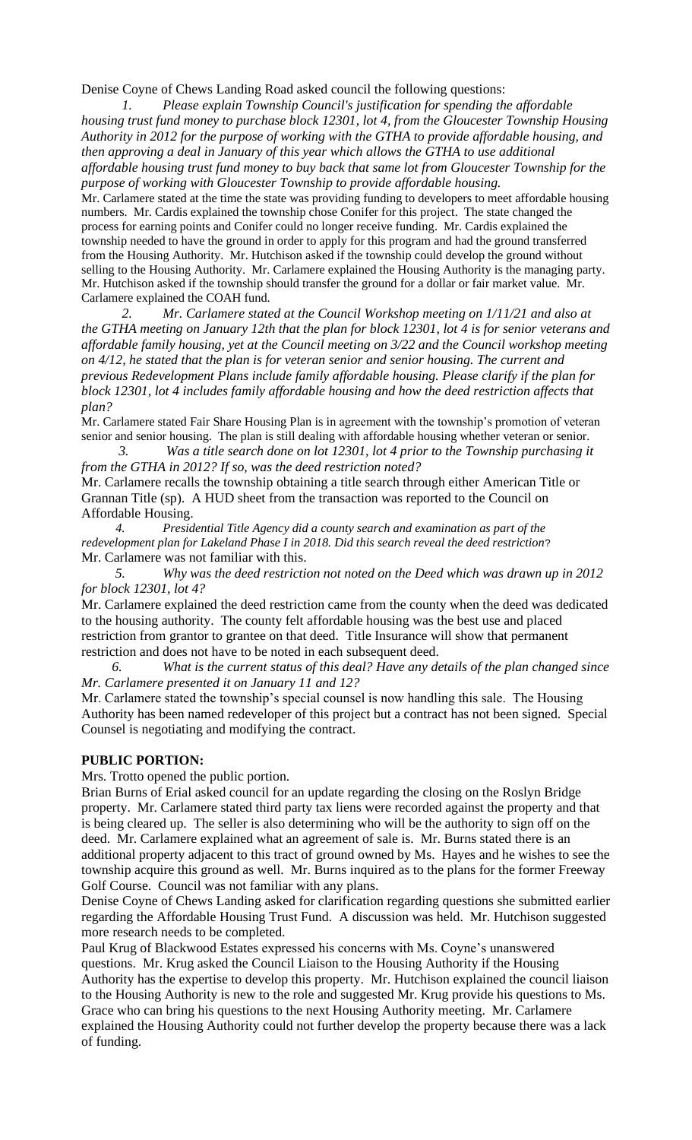Denise Coyne of Chews Landing Road asked council the following questions:

*1. Please explain Township Council's justification for spending the affordable housing trust fund money to purchase block 12301, lot 4, from the Gloucester Township Housing Authority in 2012 for the purpose of working with the GTHA to provide affordable housing, and then approving a deal in January of this year which allows the GTHA to use additional affordable housing trust fund money to buy back that same lot from Gloucester Township for the purpose of working with Gloucester Township to provide affordable housing.*

Mr. Carlamere stated at the time the state was providing funding to developers to meet affordable housing numbers. Mr. Cardis explained the township chose Conifer for this project. The state changed the process for earning points and Conifer could no longer receive funding. Mr. Cardis explained the township needed to have the ground in order to apply for this program and had the ground transferred from the Housing Authority. Mr. Hutchison asked if the township could develop the ground without selling to the Housing Authority. Mr. Carlamere explained the Housing Authority is the managing party. Mr. Hutchison asked if the township should transfer the ground for a dollar or fair market value. Mr. Carlamere explained the COAH fund.

 *2. Mr. Carlamere stated at the Council Workshop meeting on 1/11/21 and also at the GTHA meeting on January 12th that the plan for block 12301, lot 4 is for senior veterans and affordable family housing, yet at the Council meeting on 3/22 and the Council workshop meeting on 4/12, he stated that the plan is for veteran senior and senior housing. The current and previous Redevelopment Plans include family affordable housing. Please clarify if the plan for block 12301, lot 4 includes family affordable housing and how the deed restriction affects that plan?*

Mr. Carlamere stated Fair Share Housing Plan is in agreement with the township's promotion of veteran senior and senior housing. The plan is still dealing with affordable housing whether veteran or senior.

 *3. Was a title search done on lot 12301, lot 4 prior to the Township purchasing it from the GTHA in 2012? If so, was the deed restriction noted?* Mr. Carlamere recalls the township obtaining a title search through either American Title or Grannan Title (sp). A HUD sheet from the transaction was reported to the Council on

Affordable Housing.  *4. Presidential Title Agency did a county search and examination as part of the redevelopment plan for Lakeland Phase I in 2018. Did this search reveal the deed restriction*? Mr. Carlamere was not familiar with this.

 *5. Why was the deed restriction not noted on the Deed which was drawn up in 2012 for block 12301, lot 4?*

Mr. Carlamere explained the deed restriction came from the county when the deed was dedicated to the housing authority. The county felt affordable housing was the best use and placed restriction from grantor to grantee on that deed. Title Insurance will show that permanent restriction and does not have to be noted in each subsequent deed.

 *6. What is the current status of this deal? Have any details of the plan changed since Mr. Carlamere presented it on January 11 and 12?*

Mr. Carlamere stated the township's special counsel is now handling this sale. The Housing Authority has been named redeveloper of this project but a contract has not been signed. Special Counsel is negotiating and modifying the contract.

## **PUBLIC PORTION:**

Mrs. Trotto opened the public portion.

Brian Burns of Erial asked council for an update regarding the closing on the Roslyn Bridge property. Mr. Carlamere stated third party tax liens were recorded against the property and that is being cleared up. The seller is also determining who will be the authority to sign off on the deed. Mr. Carlamere explained what an agreement of sale is. Mr. Burns stated there is an additional property adjacent to this tract of ground owned by Ms. Hayes and he wishes to see the township acquire this ground as well. Mr. Burns inquired as to the plans for the former Freeway Golf Course. Council was not familiar with any plans.

Denise Coyne of Chews Landing asked for clarification regarding questions she submitted earlier regarding the Affordable Housing Trust Fund. A discussion was held. Mr. Hutchison suggested more research needs to be completed.

Paul Krug of Blackwood Estates expressed his concerns with Ms. Coyne's unanswered questions. Mr. Krug asked the Council Liaison to the Housing Authority if the Housing Authority has the expertise to develop this property. Mr. Hutchison explained the council liaison to the Housing Authority is new to the role and suggested Mr. Krug provide his questions to Ms. Grace who can bring his questions to the next Housing Authority meeting. Mr. Carlamere explained the Housing Authority could not further develop the property because there was a lack of funding.